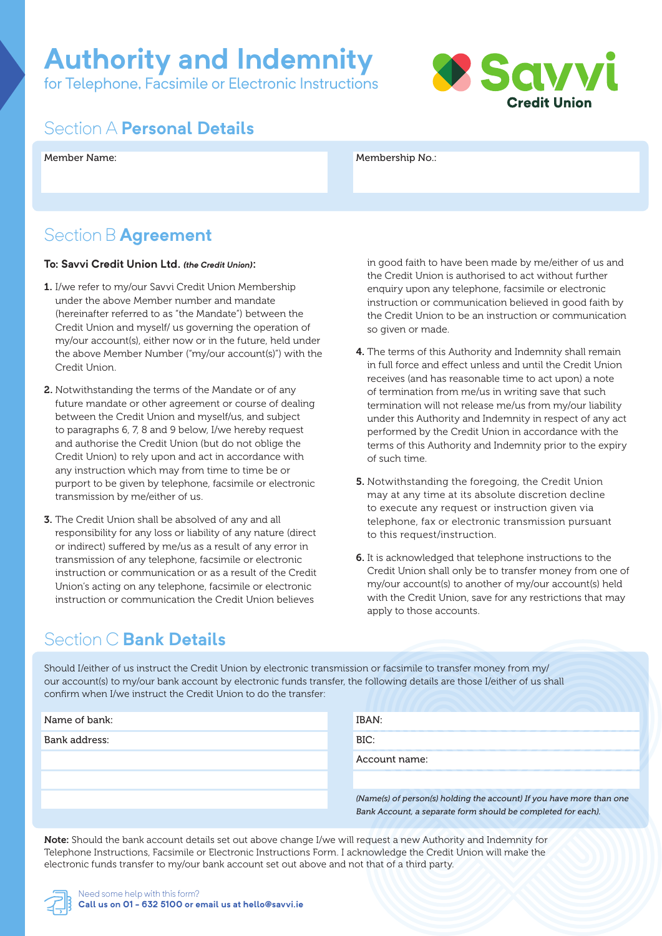# **Authority and Indemnity**

for Telephone, Facsimile or Electronic Instructions



#### Section A **Personal Details**

#### Member Name: Membership No.:

#### Section B **Agreement**

#### **To: Savvi Credit Union Ltd.** *(the Credit Union)*:

- 1. I/we refer to my/our Savvi Credit Union Membership under the above Member number and mandate (hereinafter referred to as "the Mandate") between the Credit Union and myself/ us governing the operation of my/our account(s), either now or in the future, held under the above Member Number ("my/our account(s)") with the Credit Union.
- 2. Notwithstanding the terms of the Mandate or of any future mandate or other agreement or course of dealing between the Credit Union and myself/us, and subject to paragraphs 6, 7, 8 and 9 below, I/we hereby request and authorise the Credit Union (but do not oblige the Credit Union) to rely upon and act in accordance with any instruction which may from time to time be or purport to be given by telephone, facsimile or electronic transmission by me/either of us.
- 3. The Credit Union shall be absolved of any and all responsibility for any loss or liability of any nature (direct or indirect) suffered by me/us as a result of any error in transmission of any telephone, facsimile or electronic instruction or communication or as a result of the Credit Union's acting on any telephone, facsimile or electronic instruction or communication the Credit Union believes

in good faith to have been made by me/either of us and the Credit Union is authorised to act without further enquiry upon any telephone, facsimile or electronic instruction or communication believed in good faith by the Credit Union to be an instruction or communication so given or made.

- 4. The terms of this Authority and Indemnity shall remain in full force and effect unless and until the Credit Union receives (and has reasonable time to act upon) a note of termination from me/us in writing save that such termination will not release me/us from my/our liability under this Authority and Indemnity in respect of any act performed by the Credit Union in accordance with the terms of this Authority and Indemnity prior to the expiry of such time.
- 5. Notwithstanding the foregoing, the Credit Union may at any time at its absolute discretion decline to execute any request or instruction given via telephone, fax or electronic transmission pursuant to this request/instruction.
- 6. It is acknowledged that telephone instructions to the Credit Union shall only be to transfer money from one of my/our account(s) to another of my/our account(s) held with the Credit Union, save for any restrictions that may apply to those accounts.

### Section C **Bank Details**

Should I/either of us instruct the Credit Union by electronic transmission or facsimile to transfer money from my/ our account(s) to my/our bank account by electronic funds transfer, the following details are those I/either of us shall confirm when I/we instruct the Credit Union to do the transfer:

| Name of bank: | IBAN:                                                                                                                                |
|---------------|--------------------------------------------------------------------------------------------------------------------------------------|
| Bank address: | BIC:                                                                                                                                 |
|               | Account name:                                                                                                                        |
|               |                                                                                                                                      |
|               | (Name(s) of person(s) holding the account) If you have more than one<br>Bank Account, a separate form should be completed for each). |

Note: Should the bank account details set out above change I/we will request a new Authority and Indemnity for Telephone Instructions, Facsimile or Electronic Instructions Form. I acknowledge the Credit Union will make the electronic funds transfer to my/our bank account set out above and not that of a third party.

Need some help with this form? **Call us on 01 - 632 5100 or email us at hello@savvi.ie**